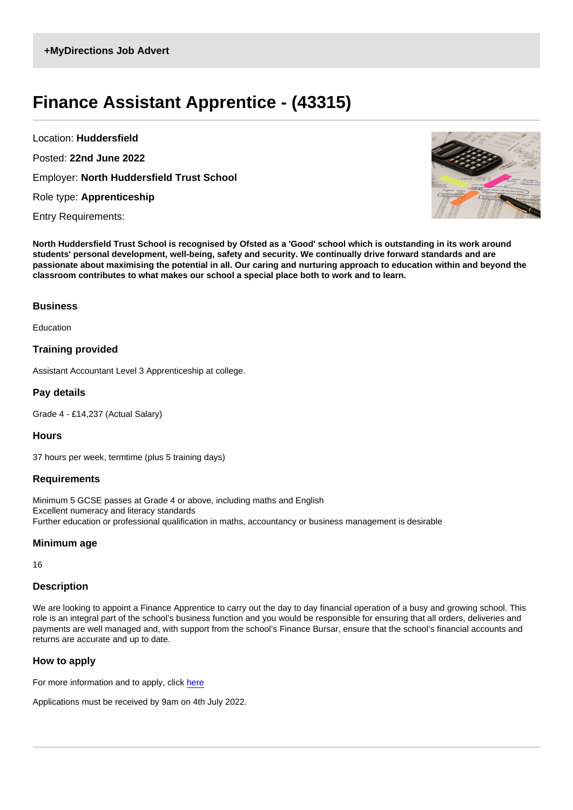## Finance Assistant Apprentice - (43315)

Location: Huddersfield Posted: 22nd June 2022 Employer: North Huddersfield Trust School Role type: Apprenticeship

Entry Requirements:

North Huddersfield Trust School is recognised by Ofsted as a 'Good' school which is outstanding in its work around students' personal development, well-being, safety and security. We continually drive forward standards and are passionate about maximising the potential in all. Our caring and nurturing approach to education within and beyond the classroom contributes to what makes our school a special place both to work and to learn.

**Business** 

Education

Training provided

Assistant Accountant Level 3 Apprenticeship at college.

Pay details

Grade 4 - £14,237 (Actual Salary)

**Hours** 

37 hours per week, termtime (plus 5 training days)

Requirements

Minimum 5 GCSE passes at Grade 4 or above, including maths and English Excellent numeracy and literacy standards Further education or professional qualification in maths, accountancy or business management is desirable

Minimum age

16

## **Description**

We are looking to appoint a Finance Apprentice to carry out the day to day financial operation of a busy and growing school. This role is an integral part of the school's business function and you would be responsible for ensuring that all orders, deliveries and payments are well managed and, with support from the school's Finance Bursar, ensure that the school's financial accounts and returns are accurate and up to date.

How to apply

For more information and to apply, click [here](https://www.nhtschool.co.uk/vacancies/#current-vacancies)

Applications must be received by 9am on 4th July 2022.